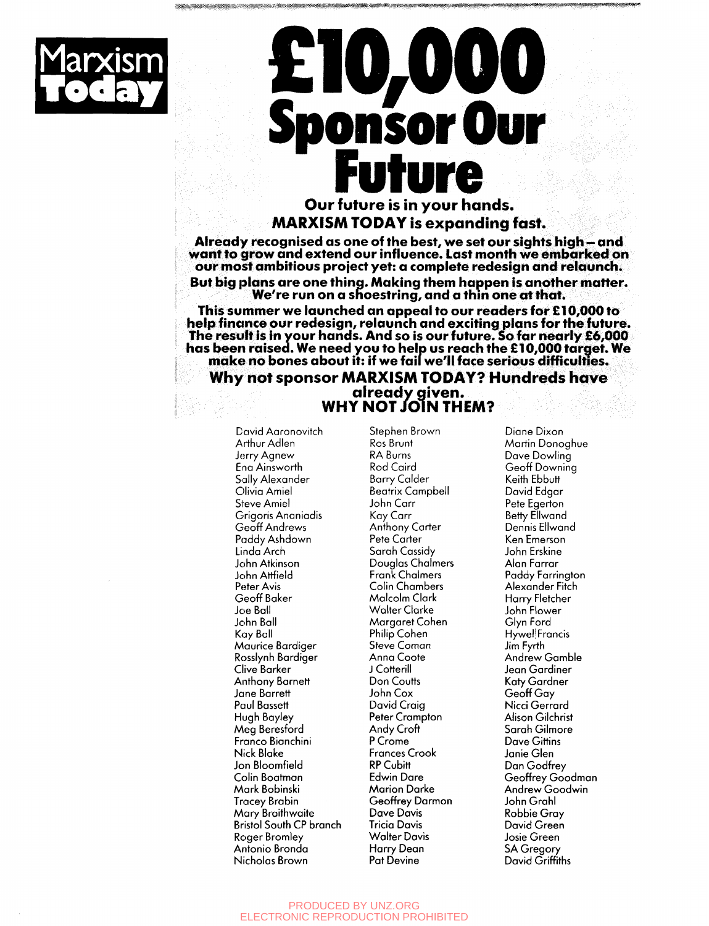

# **Marxism £10,000 ponsor Ou<br>Future**<br>our future is in your hands.

 $\mathcal{L}_{\mathcal{P}}$  is a independent of  $\mathcal{P}_{\mathcal{P}}$  is a interference of  $\mathcal{P}_{\mathcal{P}}$  . On the symmetric of  $\mathcal{P}_{\mathcal{P}}$ 

## **Our future is in your hands. MARXISM TODAY is expanding fast.**

**Already recognised as one of the best, we set our sights high - and**  our most ambitious project yet: a complete redesign and relaunch. **our most ambitious project yet: a complete redesign and relaunch.** 

**But big plans are one thina. Making them happen is another matter. We're run on a shoestring, and a thin one at that.** 

**This summer we launched an appeal to our readers for £10,000 to help finance our redesign, relaunch and exciting plans for the future. The result is in your hands. And so is our future. So far nearly £6,000**  has been reached. We have a been to help us to help us to help us to help us to help us a make no bones about it: if we fail we'll face serious difficulties.

#### **Why not sponsor MARXISM TODAY? Hundreds have** Why not sponsor *m* matricm to bitter them see the  $\sim$ **ALREADY NOT JOIN THE WHY NOT JOIN THEM?**

David Aaronovitch Arthur Adien Jerry Agnew Ena Ainsworth Sally Alexander Olivia Amiel Steve Amiel Grigoris Ananiadis Geoff Andrews Paddy Ashdown Linda Arch John Atkinson John Attfield Peter Avis Geoff Baker Joe Ball John Ball Kay Ball Maurice Bardiger Rosslynh Bardiger Clive Barker Anthony Barnett Jane Barrett Paul Bassett Hugh Bayley Meg Beresford Franco Bianchini Nick Blake Jon Bloomfield Colin Boatman Mark Bobinski **Tracey Brabin** Mary Braithwaite Bristol South CP branch Roger Bromley Antonio Bronda Nicholas Brown

Stephen Brown Ros Brunt RA Burns Rod Caird Barry Colder Beatrix Campbell John Carr Kay Carr Anthony Carter Pete Carter Sarah Cassidy Douglas Chalmers Frank Chalmers Colin Chambers Malcolm Clark Walter Clarke Margaret Cohen Philip Cohen Steve Coman Anna Coote J Cotterill Don Coutts John Cox David Craig Peter Crampton Andy Croft P Crome Frances Crook RP Cubitt Edwin Dare Marion Darke Geoffrey Darmon Dave Davis Tricia Davis Walter Davis Harry Dean Pat Devine

Diane Dixon Martin Donoghue Dave Dowling Geoff Downing Keith Ebbutt David Edgar Pete Egerton Betty Ellwand Dennis Ellwand Ken Emerson John Erskine Alan Farrar Paddy Farrington Alexander Fitch Harry Fletcher John Flower Glyn Ford Hywel Francis Jim Fyrth Andrew Gamble Jean Gardiner Katy Gardner Geoff Gay Nicci Gerrard Alison Gilchrist Sarah Gilmore Dave Gittins Janie Glen Dan Godfrey Geoffrey Goodman Andrew Goodwin John Grahl Robbie Gray David Green Josie Green SA Gregory David Griffiths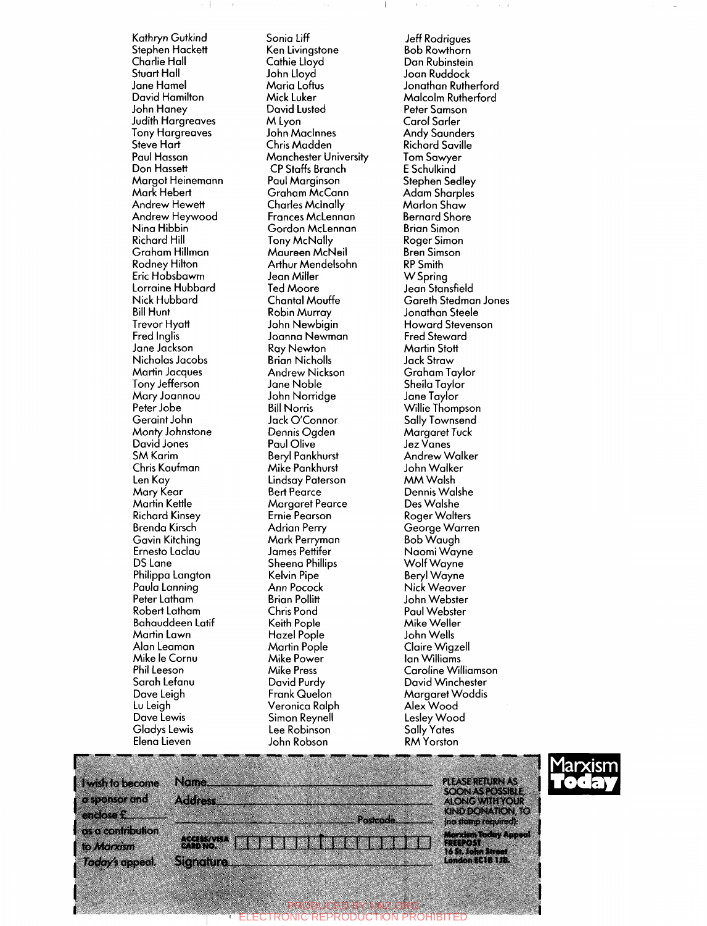Kathryn Gutkind Stephen Hackett Charlie Hall Stuart Hall Jane Hamel David Hamilton John Haney Judith Hargreaves Tony Hargreaves Steve Hart Paul Hassan Don Hassett Margot Heinemann Mark Hebert **Andrew Hewett** Andrew Heywood Nina Hibbin Richard Hill Graham Hillman Rodney Hilton Eric Hobsbawm Lorraine Hubbard Nick Hubbard Bill Hunt Trevor Hyatt Fred Inglis Jane Jackson Nicholas Jacobs Martin Jacques Tony Jefferson Mary Joannou Peter Jobe Geraint John Monty Johnstone David Jones SM Karim Chris Kaufman Len Kay Mary Keor Martin Kettle Richard Kinsey Brenda Kirsch Gavin Kitching Ernesto Laclau DS Lane Philippa Langton Paula Lanning Peter Latham Robert Latham Bahauddeen Latif Martin Lawn Alan Leaman Mike le Cornu Phil Leeson Sarah Lefanu Dave Leigh Lu Leigh Dave Lewis Gladys Lewis Elena Lieven

Sonia Liff Ken Livingstone Cathie Lloyd John Lloyd Maria Loftus Mick Luker David Lusted M Lyon John Maclnnes Chris Madden Manchester University CP Staffs Branch Paul Marginson Graham McCann Charles Mcinally Frances McLennan Gordon McLennan Tony McNally Maureen McNeil Arthur Mendelsohn Jean Miller Ted Moore Chantal Mouffe Robin Murray John Newbigin Joanna Newman Ray Newton Brian Nicholls Andrew Nickson Jane Noble John Norridge Bill Norris Jack O'Connor Dennis Ogden Paul Olive Beryl Pankhurst Mike Pankhurst Lindsay Paterson Bert Pearce Margaret Pearce Ernie Pearson Adrian Perry Mark Perryman James Pettifer Sheena Phillips Kelvin Pipe Ann Pocock Brian Pollitt Chris Pond Keith Pople Hazel Pople Martin Pople Mike Power Mike Press David Purdy Frank Quelon Veronica Ralph Simon Reynell Lee Robinson John Robson

Jeff Rodrigues Bob Rowthorn Dan Rubinstein Joan Ruddock Jonathan Rutherford Malcolm Rutherford Peter Samson Carol Sarler Andy Saunders **Richard Saville** Tom Sawyer E Schulkind Stephen Sedley Adam Sharpies Marlon Shaw Bernard Shore Brian Simon Roger Simon Bren Simson RP Smith W Spring Jean Stansfield Gareth Stedman Jones Jonathan Steele Howard Stevenson Fred Steward Martin Stott Jack Straw  $G \cup T$ Shuhum ruyit Sheila Taylor<br>Jane Taylor Julie Tuylor<br>Willie Thompson **Sallie Thompson** Sally Townsend Margaret Tuck<br>Jez Vanes Jez vanes Anarew wall John Walker MM Walsh Dennis Walshe Des Walshe **Roger Walters** George Warren Bob Waugh Naomi Wayne Wolf Wayne Beryl Wayne Nick Weaver John Webster Paul Webster Mike Weller John Wells Claire Wigzell **Ian Williams** Caroline Williamson David Winchester **Margaret Woddis** Alex Wood Leslev Woc Sally Yates **RM** Yorston



| I wish to become               | Name.                          | <b>PLEASE RETURN AS</b>                                                        |
|--------------------------------|--------------------------------|--------------------------------------------------------------------------------|
| o sponsor and                  | <b>Address</b>                 | <b>SOON AS POSSIBLE.</b><br><b>ALONG WITH YOUR</b><br><b>KIND DONATION, TO</b> |
| enclose £<br>as a contribution | <b>Postcode</b>                | (no stamp required):                                                           |
| to Marxism                     | <b>ACCESSAVISA</b><br>CARD NO. | <b>Marxism Today Appeal</b><br><b>FRESPOST</b><br>16 St. John Street           |
| Today's appeal.                | <b>Signature</b>               | London EC18 1JB.                                                               |

PRODUCED BY UNZ.ORG ELECTRONIC REPRODUCTION PROHIBITED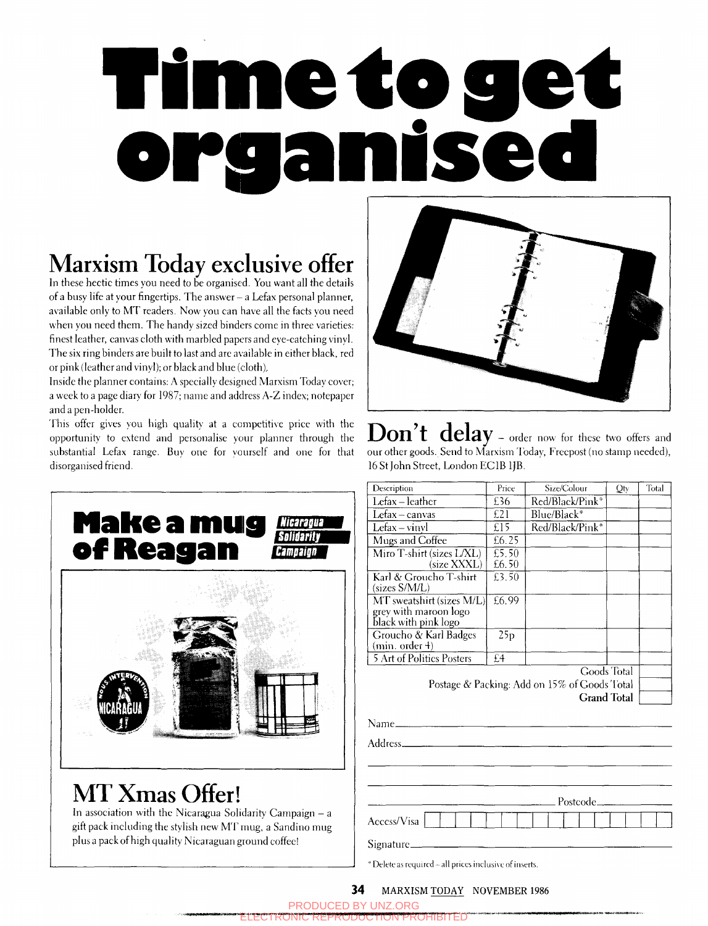# **f ime 4o get**

## **Marxism Today exclusive offer**

**In** these hectic times you need to be organised. You want all the details of a busy life at your fingertips. The answer - a Lefax personal planner, available only to MT readers. Now you can have all the facts you need when you need them. The handy sized binders come in three varieties: finest leather, canvas cloth with marbled papers and eye-catching vinyl. The six ring binders are built to last and are available in either black, red or pink (leather and vinyl); or black and blue (cloth)..

Inside the planner contains: A specially designed Marxism Today cover; a week to a page diary for 1987; name and address A-Z index; notepaper and a pen-holder.

This offer gives you high quality at a competitive price with the opportunity to extend and personalise your planner through the substantial Lefax range. Buy one for yourself and one for that disorganised friend.





**Don't delay - order now for these two offers and**  our other goods. Send to Marxism Today, Frecpost (no stamp needed), 16 St John Street, London EC IB IJB.

| Description                                                                                                                            | Price | Size/Colour                                  | Qty         | Total |
|----------------------------------------------------------------------------------------------------------------------------------------|-------|----------------------------------------------|-------------|-------|
| Lefax - leather                                                                                                                        | £36   | Red/Black/Pink*                              |             |       |
| Lefax - canvas                                                                                                                         | E21   | Blue/Black*                                  |             |       |
| Lefax-vinyl                                                                                                                            | £15   | Red/Black/Pink*                              |             |       |
| Mugs and Coffee                                                                                                                        | £6.25 |                                              |             |       |
| Miro T-shirt (sizes L/XL)                                                                                                              | £5.50 |                                              |             |       |
| (size XXXL)                                                                                                                            | £6.50 |                                              |             |       |
| Karl & Groucho T-shirt<br>(sizes S/M/L)                                                                                                | £3.50 |                                              |             |       |
| MT sweatshirt (sizes M/L)                                                                                                              | £6.99 |                                              |             |       |
| grey with maroon logo<br>black with pink logo                                                                                          |       |                                              |             |       |
| Groucho & Karl Badges                                                                                                                  | 25p   |                                              |             |       |
| (min. order 4)                                                                                                                         |       |                                              |             |       |
| <b>5 Art of Politics Posters</b>                                                                                                       | £4    |                                              |             |       |
|                                                                                                                                        |       |                                              | Goods Total |       |
|                                                                                                                                        |       | Postage & Packing: Add on 15% of Goods Total |             |       |
|                                                                                                                                        |       | <b>Grand Total</b>                           |             |       |
|                                                                                                                                        |       |                                              |             |       |
| Address <sub>----</sub>                                                                                                                |       |                                              |             |       |
|                                                                                                                                        |       |                                              |             |       |
|                                                                                                                                        |       |                                              |             |       |
|                                                                                                                                        |       | Postcode_                                    |             |       |
|                                                                                                                                        |       |                                              |             |       |
| Access/Visa                                                                                                                            |       |                                              |             |       |
| Signature <sub>—</sub>                                                                                                                 |       |                                              |             |       |
| $\mathbf{a}$ in the set of $\mathbf{a}$ is $\mathbf{a}$ in the set of $\mathbf{a}$ is the set of $\mathbf{a}$ is a set of $\mathbf{a}$ |       |                                              |             |       |

Delete as required – all prices inclusive of inserts.

### 34 MARXISM TODAY NOVEMBER 1986

|                                           | <b>PRODUCED BY UNZ ORG</b>                  |
|-------------------------------------------|---------------------------------------------|
| <b>ELECTRONIC REPRODUCTION PROHIBITED</b> | Automobile Automobile Automobile Automobile |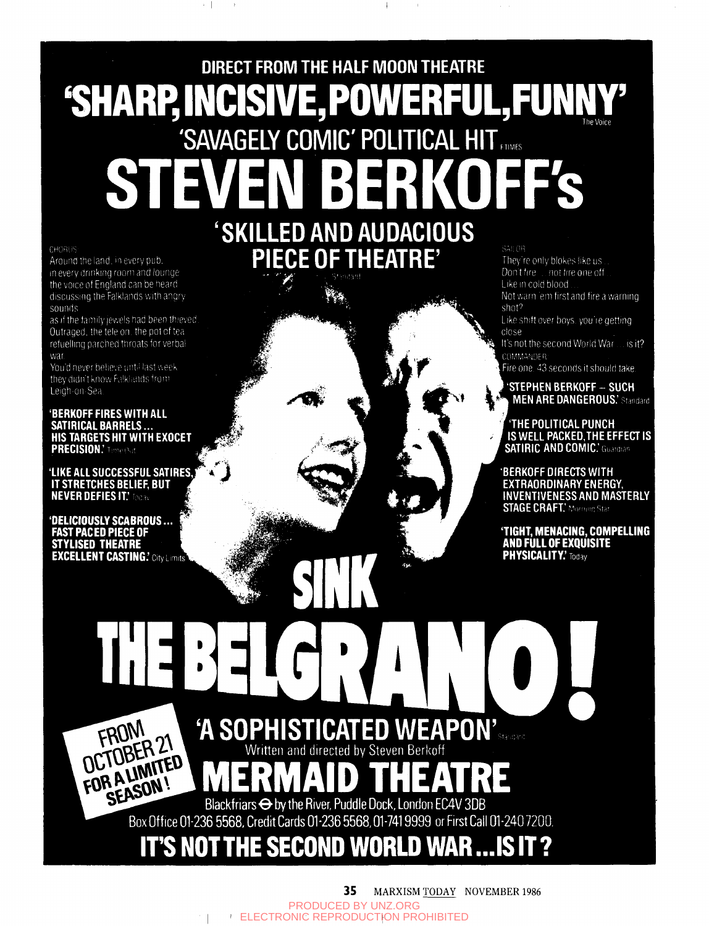# **DIRECT FROM THE HALF MOON THEATRE 'SHARP, INCISIVE, POWERFUL, FUNN** 'SAVAGELY COMIC' POLITICAL HIT IQ

**CHORUS** 

Around the land, in every pub. in every drinking room and lounge the voice of England can be heard<br>discussing the Falklands with angry sounds

as if the family jewels had been thieved. Outraged, the tele on, the pot of tearefuelling parched throats for verbal war

You'd never believe until last week they didn't know Falklands from Leigh-on-Sea

'BERKOFF FIRES WITH ALL<br>Satirical Barrels ...<br>HIS TARGETS HIT WITH EXOCET **PRECISION**.' Time Out

'LIKE ALL SUCCESSFUL SATIRES IT STRETCHES BELIEF, BUT **NEVER DEFIES IT.' Technol** 

'DELICIOUSLY SCABROUS ...<br>FAST PACED PIECE OF<br>STYLISED THEATRE **EXCELLENT CASTING.'** City Limits SKILLED AND AUDACIOUS PIECE OF THEATRE'

SAB OR They're only blokes like us. Don't tire ... not tire one off

Like in cold blood Not warn 'em first and fire a warning shot?

Like shift over boys, you're getting. close

It's not the second World War ... is it? COMMANDER:

Fire one. 43 seconds it should take.

**STEPHEN BERKOFF - SUCH MEN ARE DANGEROUS.'** Standard

THE POLITICAL PUNCH IS WELL PACKED, THE EFFECT IS **SATIRIC AND COMIC.** Guardian

**BERKOFF DIRECTS WITH EXTRAORDINARY ENERGY, INVENTIVENESS AND MASTERLY STAGE CRAFT.'** Morning Star

**'TIGHT, MENACING, COMPELLING<br>AND FULL OF EXQUISITE<br>PHYSICALITY.'** Today

'A SOPHISTICATED WEAPON's Written and directed by Steven Berkoff

DETOBER 21 FOR A LIMITED Blackfriars  $\ominus$  by the River, Puddle Dock, London EC4V 3DB Box Office 01-236 5568, Credit Cards 01-236 5568, 01-741 9999 or First Call 01-240 7200.

**IT'S NOT THE SECOND WORLD WAR...IS IT?** 

35 MARXISM TODAY NOVEMBER 1986 PRODUCED BY UNZ.ORG ELECTRONIC REPRODUCTION PROHIBITED